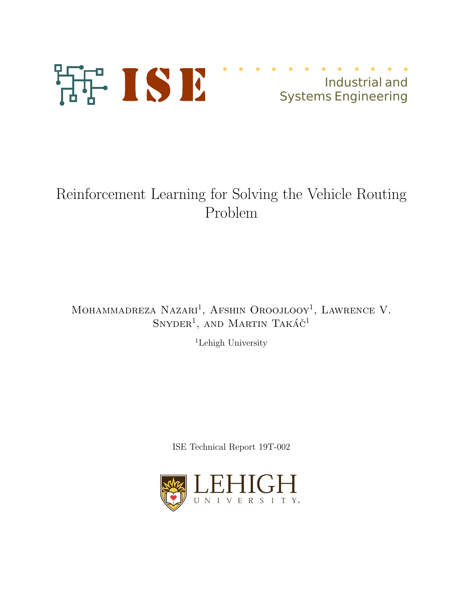

# Industrial and Systems Engineering

# Reinforcement Learning for Solving the Vehicle Routing Problem

MOHAMMADREZA NAZARI<sup>1</sup>, AFSHIN OROOJLOOY<sup>1</sup>, LAWRENCE V.  $SnyDER<sup>1</sup>$ , and Martin Takáč<sup>1</sup>

<sup>1</sup>Lehigh University

ISE Technical Report 19T-002

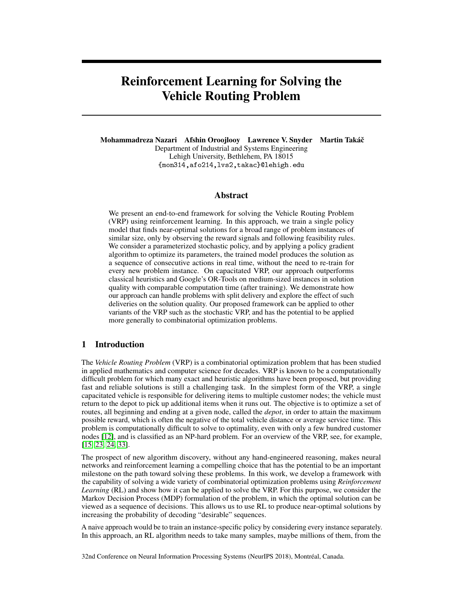# Reinforcement Learning for Solving the Vehicle Routing Problem

Mohammadreza Nazari Afshin Oroojlooy Lawrence V. Snyder Martin Takácˇ Department of Industrial and Systems Engineering Lehigh University, Bethlehem, PA 18015 {mon314,afo214,lvs2,takac}@lehigh.edu

# Abstract

We present an end-to-end framework for solving the Vehicle Routing Problem (VRP) using reinforcement learning. In this approach, we train a single policy model that finds near-optimal solutions for a broad range of problem instances of similar size, only by observing the reward signals and following feasibility rules. We consider a parameterized stochastic policy, and by applying a policy gradient algorithm to optimize its parameters, the trained model produces the solution as a sequence of consecutive actions in real time, without the need to re-train for every new problem instance. On capacitated VRP, our approach outperforms classical heuristics and Google's OR-Tools on medium-sized instances in solution quality with comparable computation time (after training). We demonstrate how our approach can handle problems with split delivery and explore the effect of such deliveries on the solution quality. Our proposed framework can be applied to other variants of the VRP such as the stochastic VRP, and has the potential to be applied more generally to combinatorial optimization problems.

# 1 Introduction

The *Vehicle Routing Problem* (VRP) is a combinatorial optimization problem that has been studied in applied mathematics and computer science for decades. VRP is known to be a computationally difficult problem for which many exact and heuristic algorithms have been proposed, but providing fast and reliable solutions is still a challenging task. In the simplest form of the VRP, a single capacitated vehicle is responsible for delivering items to multiple customer nodes; the vehicle must return to the depot to pick up additional items when it runs out. The objective is to optimize a set of routes, all beginning and ending at a given node, called the *depot*, in order to attain the maximum possible reward, which is often the negative of the total vehicle distance or average service time. This problem is computationally difficult to solve to optimality, even with only a few hundred customer nodes [\[12\]](#page-10-0), and is classified as an NP-hard problem. For an overview of the VRP, see, for example, [\[15,](#page-10-1) [23,](#page-11-0) [24,](#page-11-1) [33\]](#page-11-2).

The prospect of new algorithm discovery, without any hand-engineered reasoning, makes neural networks and reinforcement learning a compelling choice that has the potential to be an important milestone on the path toward solving these problems. In this work, we develop a framework with the capability of solving a wide variety of combinatorial optimization problems using *Reinforcement Learning* (RL) and show how it can be applied to solve the VRP. For this purpose, we consider the Markov Decision Process (MDP) formulation of the problem, in which the optimal solution can be viewed as a sequence of decisions. This allows us to use RL to produce near-optimal solutions by increasing the probability of decoding "desirable" sequences.

A naive approach would be to train an instance-specific policy by considering every instance separately. In this approach, an RL algorithm needs to take many samples, maybe millions of them, from the

32nd Conference on Neural Information Processing Systems (NeurIPS 2018), Montréal, Canada.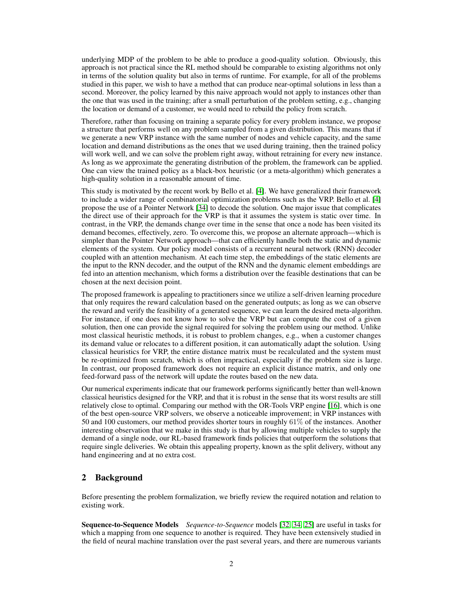underlying MDP of the problem to be able to produce a good-quality solution. Obviously, this approach is not practical since the RL method should be comparable to existing algorithms not only in terms of the solution quality but also in terms of runtime. For example, for all of the problems studied in this paper, we wish to have a method that can produce near-optimal solutions in less than a second. Moreover, the policy learned by this naive approach would not apply to instances other than the one that was used in the training; after a small perturbation of the problem setting, e.g., changing the location or demand of a customer, we would need to rebuild the policy from scratch.

Therefore, rather than focusing on training a separate policy for every problem instance, we propose a structure that performs well on any problem sampled from a given distribution. This means that if we generate a new VRP instance with the same number of nodes and vehicle capacity, and the same location and demand distributions as the ones that we used during training, then the trained policy will work well, and we can solve the problem right away, without retraining for every new instance. As long as we approximate the generating distribution of the problem, the framework can be applied. One can view the trained policy as a black-box heuristic (or a meta-algorithm) which generates a high-quality solution in a reasonable amount of time.

This study is motivated by the recent work by Bello et al. [\[4\]](#page-10-2). We have generalized their framework to include a wider range of combinatorial optimization problems such as the VRP. Bello et al. [\[4\]](#page-10-2) propose the use of a Pointer Network [\[34\]](#page-11-3) to decode the solution. One major issue that complicates the direct use of their approach for the VRP is that it assumes the system is static over time. In contrast, in the VRP, the demands change over time in the sense that once a node has been visited its demand becomes, effectively, zero. To overcome this, we propose an alternate approach—which is simpler than the Pointer Network approach—that can efficiently handle both the static and dynamic elements of the system. Our policy model consists of a recurrent neural network (RNN) decoder coupled with an attention mechanism. At each time step, the embeddings of the static elements are the input to the RNN decoder, and the output of the RNN and the dynamic element embeddings are fed into an attention mechanism, which forms a distribution over the feasible destinations that can be chosen at the next decision point.

The proposed framework is appealing to practitioners since we utilize a self-driven learning procedure that only requires the reward calculation based on the generated outputs; as long as we can observe the reward and verify the feasibility of a generated sequence, we can learn the desired meta-algorithm. For instance, if one does not know how to solve the VRP but can compute the cost of a given solution, then one can provide the signal required for solving the problem using our method. Unlike most classical heuristic methods, it is robust to problem changes, e.g., when a customer changes its demand value or relocates to a different position, it can automatically adapt the solution. Using classical heuristics for VRP, the entire distance matrix must be recalculated and the system must be re-optimized from scratch, which is often impractical, especially if the problem size is large. In contrast, our proposed framework does not require an explicit distance matrix, and only one feed-forward pass of the network will update the routes based on the new data.

Our numerical experiments indicate that our framework performs significantly better than well-known classical heuristics designed for the VRP, and that it is robust in the sense that its worst results are still relatively close to optimal. Comparing our method with the OR-Tools VRP engine [\[16\]](#page-10-3), which is one of the best open-source VRP solvers, we observe a noticeable improvement; in VRP instances with 50 and 100 customers, our method provides shorter tours in roughly 61% of the instances. Another interesting observation that we make in this study is that by allowing multiple vehicles to supply the demand of a single node, our RL-based framework finds policies that outperform the solutions that require single deliveries. We obtain this appealing property, known as the split delivery, without any hand engineering and at no extra cost.

# 2 Background

Before presenting the problem formalization, we briefly review the required notation and relation to existing work.

Sequence-to-Sequence Models *Sequence-to-Sequence* models [\[32,](#page-11-4) [34,](#page-11-3) [25\]](#page-11-5) are useful in tasks for which a mapping from one sequence to another is required. They have been extensively studied in the field of neural machine translation over the past several years, and there are numerous variants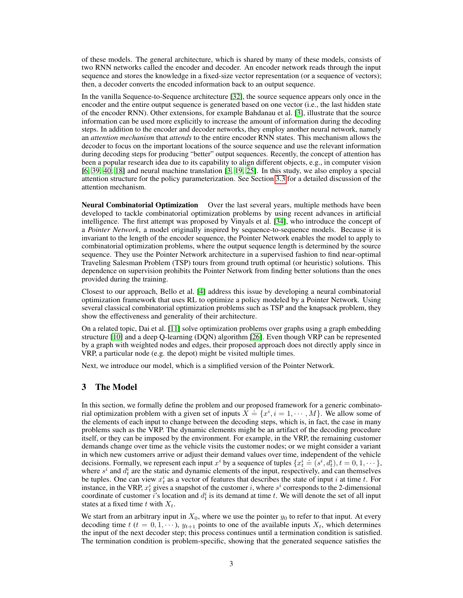of these models. The general architecture, which is shared by many of these models, consists of two RNN networks called the encoder and decoder. An encoder network reads through the input sequence and stores the knowledge in a fixed-size vector representation (or a sequence of vectors); then, a decoder converts the encoded information back to an output sequence.

In the vanilla Sequence-to-Sequence architecture [\[32\]](#page-11-4), the source sequence appears only once in the encoder and the entire output sequence is generated based on one vector (i.e., the last hidden state of the encoder RNN). Other extensions, for example Bahdanau et al. [\[3\]](#page-9-0), illustrate that the source information can be used more explicitly to increase the amount of information during the decoding steps. In addition to the encoder and decoder networks, they employ another neural network, namely an *attention mechanism* that *attends* to the entire encoder RNN states. This mechanism allows the decoder to focus on the important locations of the source sequence and use the relevant information during decoding steps for producing "better" output sequences. Recently, the concept of attention has been a popular research idea due to its capability to align different objects, e.g., in computer vision [\[6,](#page-10-4) [39,](#page-11-6) [40,](#page-11-7) [18\]](#page-10-5) and neural machine translation [\[3,](#page-9-0) [19,](#page-10-6) [25\]](#page-11-5). In this study, we also employ a special attention structure for the policy parameterization. See Section [3.3](#page-5-0) for a detailed discussion of the attention mechanism.

**Neural Combinatorial Optimization** Over the last several years, multiple methods have been developed to tackle combinatorial optimization problems by using recent advances in artificial intelligence. The first attempt was proposed by Vinyals et al. [\[34\]](#page-11-3), who introduce the concept of a *Pointer Network*, a model originally inspired by sequence-to-sequence models. Because it is invariant to the length of the encoder sequence, the Pointer Network enables the model to apply to combinatorial optimization problems, where the output sequence length is determined by the source sequence. They use the Pointer Network architecture in a supervised fashion to find near-optimal Traveling Salesman Problem (TSP) tours from ground truth optimal (or heuristic) solutions. This dependence on supervision prohibits the Pointer Network from finding better solutions than the ones provided during the training.

Closest to our approach, Bello et al. [\[4\]](#page-10-2) address this issue by developing a neural combinatorial optimization framework that uses RL to optimize a policy modeled by a Pointer Network. Using several classical combinatorial optimization problems such as TSP and the knapsack problem, they show the effectiveness and generality of their architecture.

On a related topic, Dai et al. [\[11\]](#page-10-7) solve optimization problems over graphs using a graph embedding structure [\[10\]](#page-10-8) and a deep Q-learning (DQN) algorithm [\[26\]](#page-11-8). Even though VRP can be represented by a graph with weighted nodes and edges, their proposed approach does not directly apply since in VRP, a particular node (e.g. the depot) might be visited multiple times.

Next, we introduce our model, which is a simplified version of the Pointer Network.

# 3 The Model

In this section, we formally define the problem and our proposed framework for a generic combinatoin this section, we formally define the problem and our proposed Hamework for a generic combinator-<br>trial optimization problem with a given set of inputs  $X = \{x^i, i = 1, \dots, M\}$ . We allow some of the elements of each input to change between the decoding steps, which is, in fact, the case in many problems such as the VRP. The dynamic elements might be an artifact of the decoding procedure itself, or they can be imposed by the environment. For example, in the VRP, the remaining customer demands change over time as the vehicle visits the customer nodes; or we might consider a variant in which new customers arrive or adjust their demand values over time, independent of the vehicle In which hew castomers arrive or adjust their definant varies over time, independent of the ventere decisions. Formally, we represent each input  $x^i$  by a sequence of tuples  $\{x^i_t \doteq (s^i, d^i_t), t = 0, 1, \cdots \}$ , where  $s^i$  and  $d_t^i$  are the static and dynamic elements of the input, respectively, and can themselves be tuples. One can view  $x_t^i$  as a vector of features that describes the state of input i at time t. For instance, in the VRP,  $x_t^i$  gives a snapshot of the customer i, where  $s^i$  corresponds to the 2-dimensional coordinate of customer is location and  $d_t^i$  is its demand at time t. We will denote the set of all input states at a fixed time t with  $X_t$ .

We start from an arbitrary input in  $X_0$ , where we use the pointer  $y_0$  to refer to that input. At every decoding time t ( $t = 0, 1, \dots$ ),  $y_{t+1}$  points to one of the available inputs  $X_t$ , which determines the input of the next decoder step; this process continues until a termination condition is satisfied. The termination condition is problem-specific, showing that the generated sequence satisfies the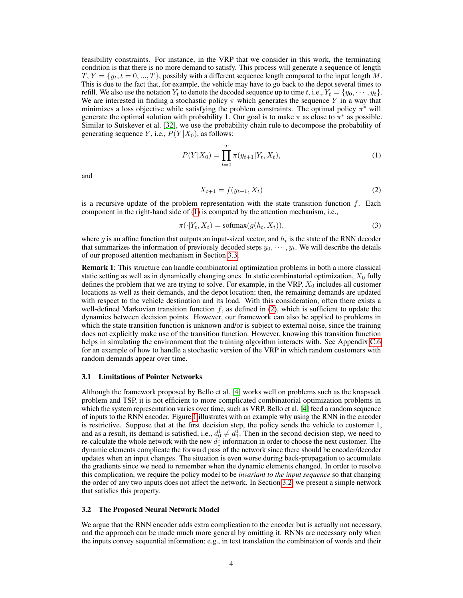feasibility constraints. For instance, in the VRP that we consider in this work, the terminating condition is that there is no more demand to satisfy. This process will generate a sequence of length  $T, Y = \{y_t, t = 0, ..., T\}$ , possibly with a different sequence length compared to the input length M. This is due to the fact that, for example, the vehicle may have to go back to the depot several times to refill. We also use the notation  $Y_t$  to denote the decoded sequence up to time t, i.e.,  $Y_t = \{y_0, \dots, y_t\}$ . We are interested in finding a stochastic policy  $\pi$  which generates the sequence Y in a way that minimizes a loss objective while satisfying the problem constraints. The optimal policy  $\pi^*$  will generate the optimal solution with probability 1. Our goal is to make  $\pi$  as close to  $\pi^*$  as possible. Similar to Sutskever et al. [\[32\]](#page-11-4), we use the probability chain rule to decompose the probability of generating sequence Y, i.e.,  $P(Y|X_0)$ , as follows:

$$
P(Y|X_0) = \prod_{t=0}^{T} \pi(y_{t+1}|Y_t, X_t),
$$
\n(1)

and

<span id="page-4-1"></span><span id="page-4-0"></span>
$$
X_{t+1} = f(y_{t+1}, X_t) \tag{2}
$$

is a recursive update of the problem representation with the state transition function  $f$ . Each component in the right-hand side of [\(1\)](#page-4-0) is computed by the attention mechanism, i.e.,

$$
\pi(\cdot|Y_t, X_t) = \text{softmax}(g(h_t, X_t)),\tag{3}
$$

where g is an affine function that outputs an input-sized vector, and  $h_t$  is the state of the RNN decoder that summarizes the information of previously decoded steps  $y_0, \dots, y_t$ . We will describe the details of our proposed attention mechanism in Section [3.3.](#page-5-0)

Remark 1: This structure can handle combinatorial optimization problems in both a more classical static setting as well as in dynamically changing ones. In static combinatorial optimization,  $X_0$  fully defines the problem that we are trying to solve. For example, in the VRP,  $X_0$  includes all customer locations as well as their demands, and the depot location; then, the remaining demands are updated with respect to the vehicle destination and its load. With this consideration, often there exists a well-defined Markovian transition function  $f$ , as defined in [\(2\)](#page-4-1), which is sufficient to update the dynamics between decision points. However, our framework can also be applied to problems in which the state transition function is unknown and/or is subject to external noise, since the training does not explicitly make use of the transition function. However, knowing this transition function helps in simulating the environment that the training algorithm interacts with. See Appendix [C.6](#page-18-0) for an example of how to handle a stochastic version of the VRP in which random customers with random demands appear over time.

#### <span id="page-4-3"></span>3.1 Limitations of Pointer Networks

Although the framework proposed by Bello et al. [\[4\]](#page-10-2) works well on problems such as the knapsack problem and TSP, it is not efficient to more complicated combinatorial optimization problems in which the system representation varies over time, such as VRP. Bello et al. [\[4\]](#page-10-2) feed a random sequence of inputs to the RNN encoder. Figure [1](#page-5-1) illustrates with an example why using the RNN in the encoder is restrictive. Suppose that at the first decision step, the policy sends the vehicle to customer 1, and as a result, its demand is satisfied, i.e.,  $d_0^1 \neq d_1^1$ . Then in the second decision step, we need to re-calculate the whole network with the new  $d_1^{\text{I}}$  information in order to choose the next customer. The dynamic elements complicate the forward pass of the network since there should be encoder/decoder updates when an input changes. The situation is even worse during back-propagation to accumulate the gradients since we need to remember when the dynamic elements changed. In order to resolve this complication, we require the policy model to be *invariant to the input sequence* so that changing the order of any two inputs does not affect the network. In Section [3.2,](#page-4-2) we present a simple network that satisfies this property.

#### <span id="page-4-2"></span>3.2 The Proposed Neural Network Model

We argue that the RNN encoder adds extra complication to the encoder but is actually not necessary, and the approach can be made much more general by omitting it. RNNs are necessary only when the inputs convey sequential information; e.g., in text translation the combination of words and their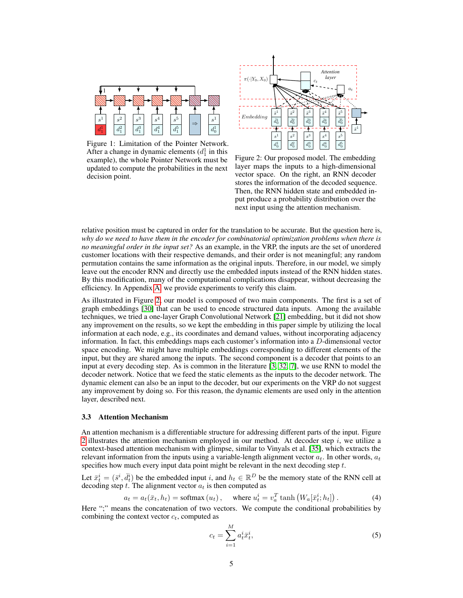<span id="page-5-1"></span>

Figure 1: Limitation of the Pointer Network. After a change in dynamic elements  $(d_1^1$  in this example), the whole Pointer Network must be updated to compute the probabilities in the next decision point.



Figure 2: Our proposed model. The embedding layer maps the inputs to a high-dimensional vector space. On the right, an RNN decoder stores the information of the decoded sequence. Then, the RNN hidden state and embedded input produce a probability distribution over the next input using the attention mechanism.

relative position must be captured in order for the translation to be accurate. But the question here is, *why do we need to have them in the encoder for combinatorial optimization problems when there is no meaningful order in the input set?* As an example, in the VRP, the inputs are the set of unordered customer locations with their respective demands, and their order is not meaningful; any random permutation contains the same information as the original inputs. Therefore, in our model, we simply leave out the encoder RNN and directly use the embedded inputs instead of the RNN hidden states. By this modification, many of the computational complications disappear, without decreasing the efficiency. In Appendix [A,](#page-12-0) we provide experiments to verify this claim.

As illustrated in Figure [2,](#page-5-1) our model is composed of two main components. The first is a set of graph embeddings [\[30\]](#page-11-9) that can be used to encode structured data inputs. Among the available techniques, we tried a one-layer Graph Convolutional Network [\[21\]](#page-10-9) embedding, but it did not show any improvement on the results, so we kept the embedding in this paper simple by utilizing the local information at each node, e.g., its coordinates and demand values, without incorporating adjacency information. In fact, this embeddings maps each customer's information into a  $D$ -dimensional vector space encoding. We might have multiple embeddings corresponding to different elements of the input, but they are shared among the inputs. The second component is a decoder that points to an input at every decoding step. As is common in the literature [\[3,](#page-9-0) [32,](#page-11-4) [7\]](#page-10-10), we use RNN to model the decoder network. Notice that we feed the static elements as the inputs to the decoder network. The dynamic element can also be an input to the decoder, but our experiments on the VRP do not suggest any improvement by doing so. For this reason, the dynamic elements are used only in the attention layer, described next.

#### <span id="page-5-0"></span>3.3 Attention Mechanism

An attention mechanism is a differentiable structure for addressing different parts of the input. Figure [2](#page-5-1) illustrates the attention mechanism employed in our method. At decoder step  $i$ , we utilize a context-based attention mechanism with glimpse, similar to Vinyals et al. [\[35\]](#page-11-10), which extracts the relevant information from the inputs using a variable-length alignment vector  $a_t$ . In other words,  $a_t$ specifies how much every input data point might be relevant in the next decoding step  $t$ .

Let  $\bar{x}_t^i = (\bar{s}^i, \bar{d}_t^i)$  be the embedded input i, and  $h_t \in \mathbb{R}^D$  be the memory state of the RNN cell at decoding step  $t$ . The alignment vector  $a_t$  is then computed as

$$
a_t = a_t(\bar{x}_t, h_t) = \text{softmax}(u_t), \quad \text{where } u_t^i = v_a^T \tanh\left(W_a[\bar{x}_t^i; h_t]\right). \tag{4}
$$

Here ";" means the concatenation of two vectors. We compute the conditional probabilities by combining the context vector  $c_t$ , computed as

<span id="page-5-2"></span>
$$
c_t = \sum_{i=1}^{M} a_t^i \bar{x}_t^i,\tag{5}
$$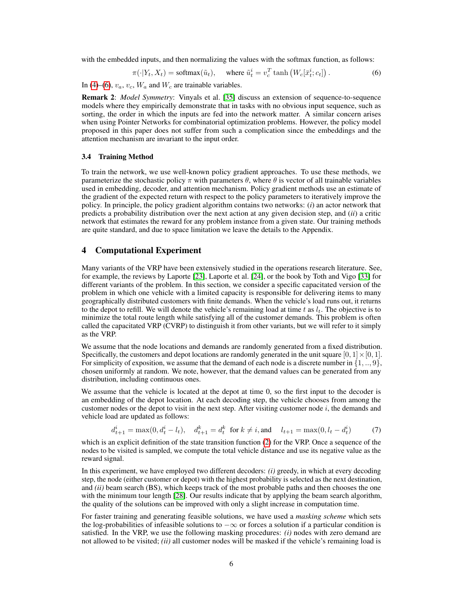with the embedded inputs, and then normalizing the values with the softmax function, as follows:

<span id="page-6-0"></span>
$$
\pi(\cdot|Y_t, X_t) = \text{softmax}(\tilde{u}_t), \quad \text{where } \tilde{u}_t^i = v_c^T \tanh\left(W_c[\bar{x}_t^i; c_t]\right). \tag{6}
$$

In [\(4\)](#page-5-2)–[\(6\)](#page-6-0),  $v_a$ ,  $v_c$ ,  $W_a$  and  $W_c$  are trainable variables.

Remark 2: *Model Symmetry*: Vinyals et al. [\[35\]](#page-11-10) discuss an extension of sequence-to-sequence models where they empirically demonstrate that in tasks with no obvious input sequence, such as sorting, the order in which the inputs are fed into the network matter. A similar concern arises when using Pointer Networks for combinatorial optimization problems. However, the policy model proposed in this paper does not suffer from such a complication since the embeddings and the attention mechanism are invariant to the input order.

#### 3.4 Training Method

To train the network, we use well-known policy gradient approaches. To use these methods, we parameterize the stochastic policy  $\pi$  with parameters  $\theta$ , where  $\theta$  is vector of all trainable variables used in embedding, decoder, and attention mechanism. Policy gradient methods use an estimate of the gradient of the expected return with respect to the policy parameters to iteratively improve the policy. In principle, the policy gradient algorithm contains two networks: (*i*) an actor network that predicts a probability distribution over the next action at any given decision step, and (*ii*) a critic network that estimates the reward for any problem instance from a given state. Our training methods are quite standard, and due to space limitation we leave the details to the Appendix.

## <span id="page-6-1"></span>4 Computational Experiment

Many variants of the VRP have been extensively studied in the operations research literature. See, for example, the reviews by Laporte [\[23\]](#page-11-0), Laporte et al. [\[24\]](#page-11-1), or the book by Toth and Vigo [\[33\]](#page-11-2) for different variants of the problem. In this section, we consider a specific capacitated version of the problem in which one vehicle with a limited capacity is responsible for delivering items to many geographically distributed customers with finite demands. When the vehicle's load runs out, it returns to the depot to refill. We will denote the vehicle's remaining load at time t as  $l_t$ . The objective is to minimize the total route length while satisfying all of the customer demands. This problem is often called the capacitated VRP (CVRP) to distinguish it from other variants, but we will refer to it simply as the VRP.

We assume that the node locations and demands are randomly generated from a fixed distribution. Specifically, the customers and depot locations are randomly generated in the unit square  $[0, 1] \times [0, 1]$ . For simplicity of exposition, we assume that the demand of each node is a discrete number in  $\{1, \ldots, 9\}$ , chosen uniformly at random. We note, however, that the demand values can be generated from any distribution, including continuous ones.

We assume that the vehicle is located at the depot at time 0, so the first input to the decoder is an embedding of the depot location. At each decoding step, the vehicle chooses from among the customer nodes or the depot to visit in the next step. After visiting customer node i, the demands and vehicle load are updated as follows:

$$
d_{t+1}^i = \max(0, d_t^i - l_t), \quad d_{t+1}^k = d_t^k \text{ for } k \neq i, \text{and} \quad l_{t+1} = \max(0, l_t - d_t^i) \tag{7}
$$

which is an explicit definition of the state transition function [\(2\)](#page-4-1) for the VRP. Once a sequence of the nodes to be visited is sampled, we compute the total vehicle distance and use its negative value as the reward signal.

In this experiment, we have employed two different decoders: *(i)* greedy, in which at every decoding step, the node (either customer or depot) with the highest probability is selected as the next destination, and *(ii)* beam search (BS), which keeps track of the most probable paths and then chooses the one with the minimum tour length [\[28\]](#page-11-11). Our results indicate that by applying the beam search algorithm, the quality of the solutions can be improved with only a slight increase in computation time.

For faster training and generating feasible solutions, we have used a *masking scheme* which sets the log-probabilities of infeasible solutions to  $-\infty$  or forces a solution if a particular condition is satisfied. In the VRP, we use the following masking procedures: *(i)* nodes with zero demand are not allowed to be visited; *(ii)* all customer nodes will be masked if the vehicle's remaining load is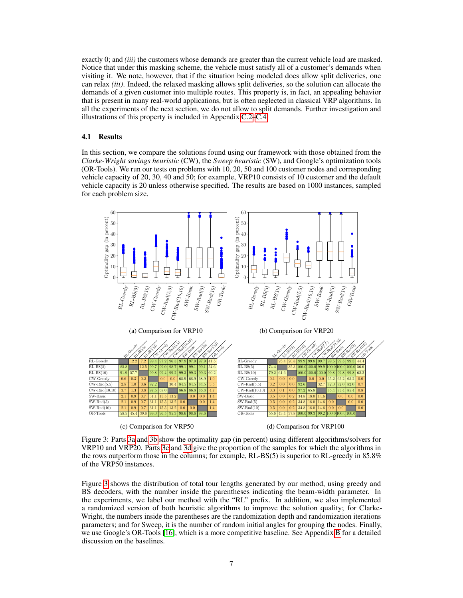exactly 0; and *(iii)* the customers whose demands are greater than the current vehicle load are masked. Notice that under this masking scheme, the vehicle must satisfy all of a customer's demands when visiting it. We note, however, that if the situation being modeled does allow split deliveries, one can relax *(iii)*. Indeed, the relaxed masking allows split deliveries, so the solution can allocate the demands of a given customer into multiple routes. This property is, in fact, an appealing behavior that is present in many real-world applications, but is often neglected in classical VRP algorithms. In all the experiments of the next section, we do not allow to split demands. Further investigation and illustrations of this property is included in Appendix [C.2–](#page-15-0)[C.4.](#page-16-0)

# 4.1 Results

In this section, we compare the solutions found using our framework with those obtained from the *Clarke-Wright savings heuristic* (CW), the *Sweep heuristic* (SW), and Google's optimization tools (OR-Tools). We run our tests on problems with 10, 20, 50 and 100 customer nodes and corresponding vehicle capacity of 20, 30, 40 and 50; for example, VRP10 consists of 10 customer and the default vehicle capacity is 20 unless otherwise specified. The results are based on 1000 instances, sampled for each problem size.

<span id="page-7-0"></span>

Figure 3: Parts [3a](#page-7-0) and [3b](#page-7-0) show the optimality gap (in percent) using different algorithms/solvers for VRP10 and VRP20. Parts [3c](#page-7-0) and [3d](#page-7-0) give the proportion of the samples for which the algorithms in the rows outperform those in the columns; for example, RL-BS(5) is superior to RL-greedy in 85.8% of the VRP50 instances.

Figure [3](#page-7-0) shows the distribution of total tour lengths generated by our method, using greedy and BS decoders, with the number inside the parentheses indicating the beam-width parameter. In the experiments, we label our method with the "RL" prefix. In addition, we also implemented a randomized version of both heuristic algorithms to improve the solution quality; for Clarke-Wright, the numbers inside the parentheses are the randomization depth and randomization iterations parameters; and for Sweep, it is the number of random initial angles for grouping the nodes. Finally, we use Google's OR-Tools [\[16\]](#page-10-3), which is a more competitive baseline. See Appendix [B](#page-13-0) for a detailed discussion on the baselines.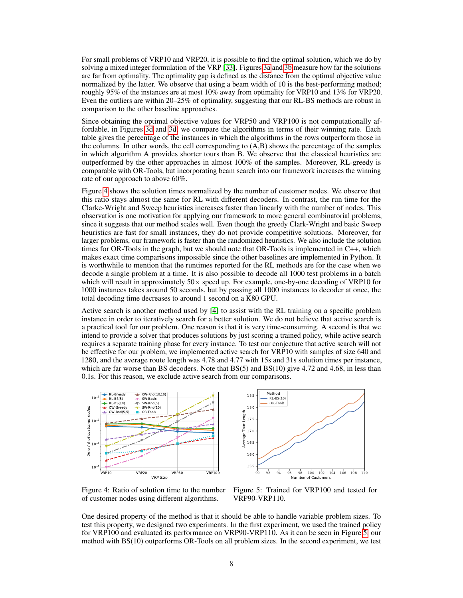For small problems of VRP10 and VRP20, it is possible to find the optimal solution, which we do by solving a mixed integer formulation of the VRP [\[33\]](#page-11-2). Figures [3a](#page-7-0) and [3b](#page-7-0) measure how far the solutions are far from optimality. The optimality gap is defined as the distance from the optimal objective value normalized by the latter. We observe that using a beam width of 10 is the best-performing method; roughly 95% of the instances are at most 10% away from optimality for VRP10 and 13% for VRP20. Even the outliers are within 20–25% of optimality, suggesting that our RL-BS methods are robust in comparison to the other baseline approaches.

Since obtaining the optimal objective values for VRP50 and VRP100 is not computationally affordable, in Figures [3d](#page-7-0) and [3d,](#page-7-0) we compare the algorithms in terms of their winning rate. Each table gives the percentage of the instances in which the algorithms in the rows outperform those in the columns. In other words, the cell corresponding to (A,B) shows the percentage of the samples in which algorithm A provides shorter tours than B. We observe that the classical heuristics are outperformed by the other approaches in almost 100% of the samples. Moreover, RL-greedy is comparable with OR-Tools, but incorporating beam search into our framework increases the winning rate of our approach to above 60%.

Figure [4](#page-8-0) shows the solution times normalized by the number of customer nodes. We observe that this ratio stays almost the same for RL with different decoders. In contrast, the run time for the Clarke-Wright and Sweep heuristics increases faster than linearly with the number of nodes. This observation is one motivation for applying our framework to more general combinatorial problems, since it suggests that our method scales well. Even though the greedy Clark-Wright and basic Sweep heuristics are fast for small instances, they do not provide competitive solutions. Moreover, for larger problems, our framework is faster than the randomized heuristics. We also include the solution times for OR-Tools in the graph, but we should note that OR-Tools is implemented in C++, which makes exact time comparisons impossible since the other baselines are implemented in Python. It is worthwhile to mention that the runtimes reported for the RL methods are for the case when we decode a single problem at a time. It is also possible to decode all 1000 test problems in a batch which will result in approximately  $50\times$  speed up. For example, one-by-one decoding of VRP10 for 1000 instances takes around 50 seconds, but by passing all 1000 instances to decoder at once, the total decoding time decreases to around 1 second on a K80 GPU.

Active search is another method used by [\[4\]](#page-10-2) to assist with the RL training on a specific problem instance in order to iteratively search for a better solution. We do not believe that active search is a practical tool for our problem. One reason is that it is very time-consuming. A second is that we intend to provide a solver that produces solutions by just scoring a trained policy, while active search requires a separate training phase for every instance. To test our conjecture that active search will not be effective for our problem, we implemented active search for VRP10 with samples of size 640 and 1280, and the average route length was 4.78 and 4.77 with 15s and 31s solution times per instance, which are far worse than BS decoders. Note that BS(5) and BS(10) give 4.72 and 4.68, in less than 0.1s. For this reason, we exclude active search from our comparisons.

<span id="page-8-0"></span>

90 92 94 96 98 100 102 104 106 108 110 Number of Custome 15.5 16.0 16.5 17.0 17.5 18.0 18.5 Average Tour Length Method RL-BS(10) OR-Tools

Figure 4: Ratio of solution time to the number of customer nodes using different algorithms.

Figure 5: Trained for VRP100 and tested for VRP90-VRP110.

One desired property of the method is that it should be able to handle variable problem sizes. To test this property, we designed two experiments. In the first experiment, we used the trained policy for VRP100 and evaluated its performance on VRP90-VRP110. As it can be seen in Figure [5,](#page-8-0) our method with BS(10) outperforms OR-Tools on all problem sizes. In the second experiment, we test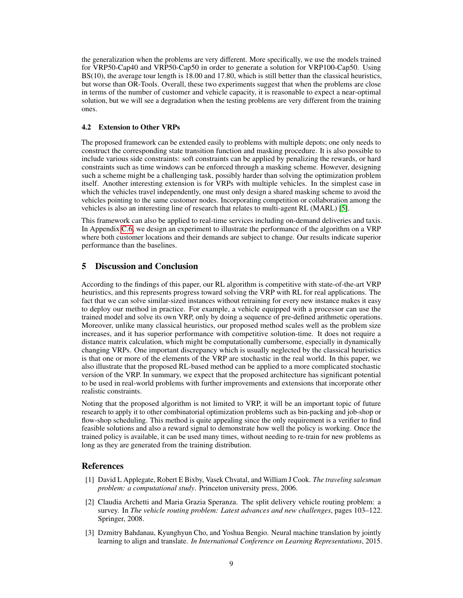the generalization when the problems are very different. More specifically, we use the models trained for VRP50-Cap40 and VRP50-Cap50 in order to generate a solution for VRP100-Cap50. Using BS(10), the average tour length is 18.00 and 17.80, which is still better than the classical heuristics, but worse than OR-Tools. Overall, these two experiments suggest that when the problems are close in terms of the number of customer and vehicle capacity, it is reasonable to expect a near-optimal solution, but we will see a degradation when the testing problems are very different from the training ones.

#### 4.2 Extension to Other VRPs

The proposed framework can be extended easily to problems with multiple depots; one only needs to construct the corresponding state transition function and masking procedure. It is also possible to include various side constraints: soft constraints can be applied by penalizing the rewards, or hard constraints such as time windows can be enforced through a masking scheme. However, designing such a scheme might be a challenging task, possibly harder than solving the optimization problem itself. Another interesting extension is for VRPs with multiple vehicles. In the simplest case in which the vehicles travel independently, one must only design a shared masking scheme to avoid the vehicles pointing to the same customer nodes. Incorporating competition or collaboration among the vehicles is also an interesting line of research that relates to multi-agent RL (MARL) [\[5\]](#page-10-11).

This framework can also be applied to real-time services including on-demand deliveries and taxis. In Appendix [C.6,](#page-18-0) we design an experiment to illustrate the performance of the algorithm on a VRP where both customer locations and their demands are subject to change. Our results indicate superior performance than the baselines.

# 5 Discussion and Conclusion

According to the findings of this paper, our RL algorithm is competitive with state-of-the-art VRP heuristics, and this represents progress toward solving the VRP with RL for real applications. The fact that we can solve similar-sized instances without retraining for every new instance makes it easy to deploy our method in practice. For example, a vehicle equipped with a processor can use the trained model and solve its own VRP, only by doing a sequence of pre-defined arithmetic operations. Moreover, unlike many classical heuristics, our proposed method scales well as the problem size increases, and it has superior performance with competitive solution-time. It does not require a distance matrix calculation, which might be computationally cumbersome, especially in dynamically changing VRPs. One important discrepancy which is usually neglected by the classical heuristics is that one or more of the elements of the VRP are stochastic in the real world. In this paper, we also illustrate that the proposed RL-based method can be applied to a more complicated stochastic version of the VRP. In summary, we expect that the proposed architecture has significant potential to be used in real-world problems with further improvements and extensions that incorporate other realistic constraints.

Noting that the proposed algorithm is not limited to VRP, it will be an important topic of future research to apply it to other combinatorial optimization problems such as bin-packing and job-shop or flow-shop scheduling. This method is quite appealing since the only requirement is a verifier to find feasible solutions and also a reward signal to demonstrate how well the policy is working. Once the trained policy is available, it can be used many times, without needing to re-train for new problems as long as they are generated from the training distribution.

#### References

- <span id="page-9-1"></span>[1] David L Applegate, Robert E Bixby, Vasek Chvatal, and William J Cook. *The traveling salesman problem: a computational study*. Princeton university press, 2006.
- <span id="page-9-2"></span>[2] Claudia Archetti and Maria Grazia Speranza. The split delivery vehicle routing problem: a survey. In *The vehicle routing problem: Latest advances and new challenges*, pages 103–122. Springer, 2008.
- <span id="page-9-0"></span>[3] Dzmitry Bahdanau, Kyunghyun Cho, and Yoshua Bengio. Neural machine translation by jointly learning to align and translate. *In International Conference on Learning Representations*, 2015.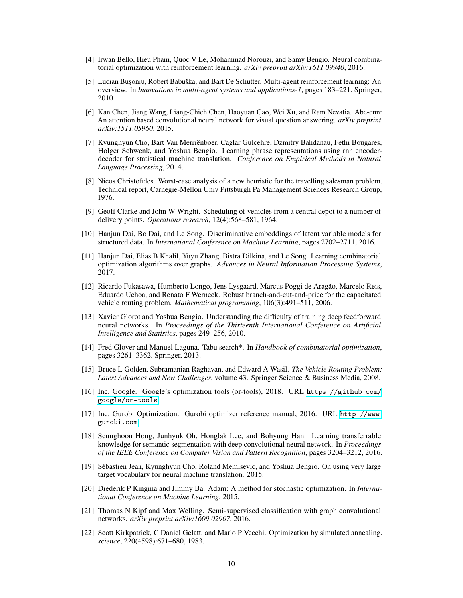- <span id="page-10-2"></span>[4] Irwan Bello, Hieu Pham, Quoc V Le, Mohammad Norouzi, and Samy Bengio. Neural combinatorial optimization with reinforcement learning. *arXiv preprint arXiv:1611.09940*, 2016.
- <span id="page-10-11"></span>[5] Lucian Busoniu, Robert Babuška, and Bart De Schutter. Multi-agent reinforcement learning: An overview. In *Innovations in multi-agent systems and applications-1*, pages 183–221. Springer, 2010.
- <span id="page-10-4"></span>[6] Kan Chen, Jiang Wang, Liang-Chieh Chen, Haoyuan Gao, Wei Xu, and Ram Nevatia. Abc-cnn: An attention based convolutional neural network for visual question answering. *arXiv preprint arXiv:1511.05960*, 2015.
- <span id="page-10-10"></span>[7] Kyunghyun Cho, Bart Van Merriënboer, Caglar Gulcehre, Dzmitry Bahdanau, Fethi Bougares, Holger Schwenk, and Yoshua Bengio. Learning phrase representations using rnn encoderdecoder for statistical machine translation. *Conference on Empirical Methods in Natural Language Processing*, 2014.
- <span id="page-10-13"></span>[8] Nicos Christofides. Worst-case analysis of a new heuristic for the travelling salesman problem. Technical report, Carnegie-Mellon Univ Pittsburgh Pa Management Sciences Research Group, 1976.
- <span id="page-10-12"></span>[9] Geoff Clarke and John W Wright. Scheduling of vehicles from a central depot to a number of delivery points. *Operations research*, 12(4):568–581, 1964.
- <span id="page-10-8"></span>[10] Hanjun Dai, Bo Dai, and Le Song. Discriminative embeddings of latent variable models for structured data. In *International Conference on Machine Learning*, pages 2702–2711, 2016.
- <span id="page-10-7"></span>[11] Hanjun Dai, Elias B Khalil, Yuyu Zhang, Bistra Dilkina, and Le Song. Learning combinatorial optimization algorithms over graphs. *Advances in Neural Information Processing Systems*, 2017.
- <span id="page-10-0"></span>[12] Ricardo Fukasawa, Humberto Longo, Jens Lysgaard, Marcus Poggi de Aragão, Marcelo Reis, Eduardo Uchoa, and Renato F Werneck. Robust branch-and-cut-and-price for the capacitated vehicle routing problem. *Mathematical programming*, 106(3):491–511, 2006.
- <span id="page-10-17"></span>[13] Xavier Glorot and Yoshua Bengio. Understanding the difficulty of training deep feedforward neural networks. In *Proceedings of the Thirteenth International Conference on Artificial Intelligence and Statistics*, pages 249–256, 2010.
- <span id="page-10-14"></span>[14] Fred Glover and Manuel Laguna. Tabu search\*. In *Handbook of combinatorial optimization*, pages 3261–3362. Springer, 2013.
- <span id="page-10-1"></span>[15] Bruce L Golden, Subramanian Raghavan, and Edward A Wasil. *The Vehicle Routing Problem: Latest Advances and New Challenges*, volume 43. Springer Science & Business Media, 2008.
- <span id="page-10-3"></span>[16] Inc. Google. Google's optimization tools (or-tools), 2018. URL [https://github.com/](https://github.com/google/or-tools) [google/or-tools](https://github.com/google/or-tools).
- <span id="page-10-16"></span>[17] Inc. Gurobi Optimization. Gurobi optimizer reference manual, 2016. URL [http://www.](http://www.gurobi.com) [gurobi.com](http://www.gurobi.com).
- <span id="page-10-5"></span>[18] Seunghoon Hong, Junhyuk Oh, Honglak Lee, and Bohyung Han. Learning transferrable knowledge for semantic segmentation with deep convolutional neural network. In *Proceedings of the IEEE Conference on Computer Vision and Pattern Recognition*, pages 3204–3212, 2016.
- <span id="page-10-6"></span>[19] Sébastien Jean, Kyunghyun Cho, Roland Memisevic, and Yoshua Bengio. On using very large target vocabulary for neural machine translation. 2015.
- <span id="page-10-18"></span>[20] Diederik P Kingma and Jimmy Ba. Adam: A method for stochastic optimization. In *International Conference on Machine Learning*, 2015.
- <span id="page-10-9"></span>[21] Thomas N Kipf and Max Welling. Semi-supervised classification with graph convolutional networks. *arXiv preprint arXiv:1609.02907*, 2016.
- <span id="page-10-15"></span>[22] Scott Kirkpatrick, C Daniel Gelatt, and Mario P Vecchi. Optimization by simulated annealing. *science*, 220(4598):671–680, 1983.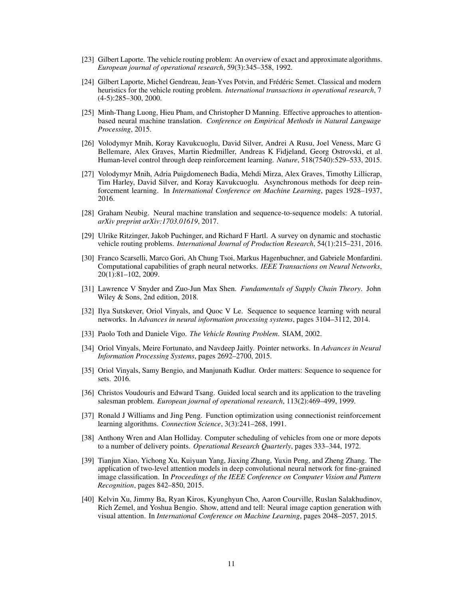- <span id="page-11-0"></span>[23] Gilbert Laporte. The vehicle routing problem: An overview of exact and approximate algorithms. *European journal of operational research*, 59(3):345–358, 1992.
- <span id="page-11-1"></span>[24] Gilbert Laporte, Michel Gendreau, Jean-Yves Potvin, and Frédéric Semet. Classical and modern heuristics for the vehicle routing problem. *International transactions in operational research*, 7 (4-5):285–300, 2000.
- <span id="page-11-5"></span>[25] Minh-Thang Luong, Hieu Pham, and Christopher D Manning. Effective approaches to attentionbased neural machine translation. *Conference on Empirical Methods in Natural Language Processing*, 2015.
- <span id="page-11-8"></span>[26] Volodymyr Mnih, Koray Kavukcuoglu, David Silver, Andrei A Rusu, Joel Veness, Marc G Bellemare, Alex Graves, Martin Riedmiller, Andreas K Fidjeland, Georg Ostrovski, et al. Human-level control through deep reinforcement learning. *Nature*, 518(7540):529–533, 2015.
- <span id="page-11-16"></span>[27] Volodymyr Mnih, Adria Puigdomenech Badia, Mehdi Mirza, Alex Graves, Timothy Lillicrap, Tim Harley, David Silver, and Koray Kavukcuoglu. Asynchronous methods for deep reinforcement learning. In *International Conference on Machine Learning*, pages 1928–1937, 2016.
- <span id="page-11-11"></span>[28] Graham Neubig. Neural machine translation and sequence-to-sequence models: A tutorial. *arXiv preprint arXiv:1703.01619*, 2017.
- <span id="page-11-17"></span>[29] Ulrike Ritzinger, Jakob Puchinger, and Richard F Hartl. A survey on dynamic and stochastic vehicle routing problems. *International Journal of Production Research*, 54(1):215–231, 2016.
- <span id="page-11-9"></span>[30] Franco Scarselli, Marco Gori, Ah Chung Tsoi, Markus Hagenbuchner, and Gabriele Monfardini. Computational capabilities of graph neural networks. *IEEE Transactions on Neural Networks*, 20(1):81–102, 2009.
- <span id="page-11-12"></span>[31] Lawrence V Snyder and Zuo-Jun Max Shen. *Fundamentals of Supply Chain Theory*. John Wiley & Sons, 2nd edition, 2018.
- <span id="page-11-4"></span>[32] Ilya Sutskever, Oriol Vinyals, and Quoc V Le. Sequence to sequence learning with neural networks. In *Advances in neural information processing systems*, pages 3104–3112, 2014.
- <span id="page-11-2"></span>[33] Paolo Toth and Daniele Vigo. *The Vehicle Routing Problem*. SIAM, 2002.
- <span id="page-11-3"></span>[34] Oriol Vinyals, Meire Fortunato, and Navdeep Jaitly. Pointer networks. In *Advances in Neural Information Processing Systems*, pages 2692–2700, 2015.
- <span id="page-11-10"></span>[35] Oriol Vinyals, Samy Bengio, and Manjunath Kudlur. Order matters: Sequence to sequence for sets. 2016.
- <span id="page-11-14"></span>[36] Christos Voudouris and Edward Tsang. Guided local search and its application to the traveling salesman problem. *European journal of operational research*, 113(2):469–499, 1999.
- <span id="page-11-15"></span>[37] Ronald J Williams and Jing Peng. Function optimization using connectionist reinforcement learning algorithms. *Connection Science*, 3(3):241–268, 1991.
- <span id="page-11-13"></span>[38] Anthony Wren and Alan Holliday. Computer scheduling of vehicles from one or more depots to a number of delivery points. *Operational Research Quarterly*, pages 333–344, 1972.
- <span id="page-11-6"></span>[39] Tianjun Xiao, Yichong Xu, Kuiyuan Yang, Jiaxing Zhang, Yuxin Peng, and Zheng Zhang. The application of two-level attention models in deep convolutional neural network for fine-grained image classification. In *Proceedings of the IEEE Conference on Computer Vision and Pattern Recognition*, pages 842–850, 2015.
- <span id="page-11-7"></span>[40] Kelvin Xu, Jimmy Ba, Ryan Kiros, Kyunghyun Cho, Aaron Courville, Ruslan Salakhudinov, Rich Zemel, and Yoshua Bengio. Show, attend and tell: Neural image caption generation with visual attention. In *International Conference on Machine Learning*, pages 2048–2057, 2015.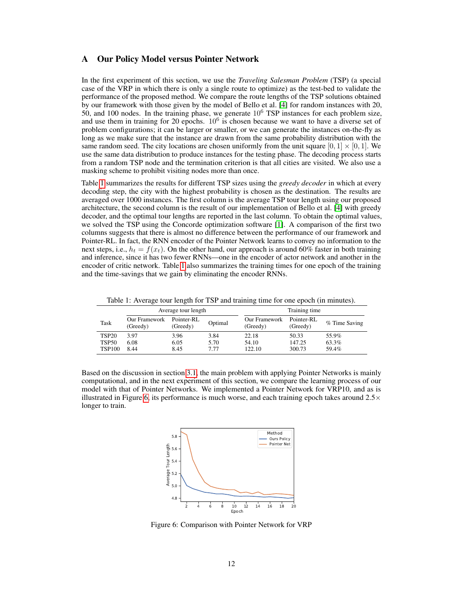## <span id="page-12-0"></span>A Our Policy Model versus Pointer Network

In the first experiment of this section, we use the *Traveling Salesman Problem* (TSP) (a special case of the VRP in which there is only a single route to optimize) as the test-bed to validate the performance of the proposed method. We compare the route lengths of the TSP solutions obtained by our framework with those given by the model of Bello et al. [\[4\]](#page-10-2) for random instances with 20, 50, and 100 nodes. In the training phase, we generate  $10<sup>6</sup>$  TSP instances for each problem size, and use them in training for 20 epochs.  $10^6$  is chosen because we want to have a diverse set of problem configurations; it can be larger or smaller, or we can generate the instances on-the-fly as long as we make sure that the instance are drawn from the same probability distribution with the same random seed. The city locations are chosen uniformly from the unit square  $[0, 1] \times [0, 1]$ . We use the same data distribution to produce instances for the testing phase. The decoding process starts from a random TSP node and the termination criterion is that all cities are visited. We also use a masking scheme to prohibit visiting nodes more than once.

Table [1](#page-12-1) summarizes the results for different TSP sizes using the *greedy decoder* in which at every decoding step, the city with the highest probability is chosen as the destination. The results are averaged over 1000 instances. The first column is the average TSP tour length using our proposed architecture, the second column is the result of our implementation of Bello et al. [\[4\]](#page-10-2) with greedy decoder, and the optimal tour lengths are reported in the last column. To obtain the optimal values, we solved the TSP using the Concorde optimization software [\[1\]](#page-9-1). A comparison of the first two columns suggests that there is almost no difference between the performance of our framework and Pointer-RL. In fact, the RNN encoder of the Pointer Network learns to convey no information to the next steps, i.e.,  $h_t = f(x_t)$ . On the other hand, our approach is around 60% faster in both training and inference, since it has two fewer RNNs—one in the encoder of actor network and another in the encoder of critic network. Table [1](#page-12-1) also summarizes the training times for one epoch of the training and the time-savings that we gain by eliminating the encoder RNNs.

Table 1: Average tour length for TSP and training time for one epoch (in minutes).

<span id="page-12-1"></span>

| Average tour length |                           |                        |         | Training time             |                        |               |
|---------------------|---------------------------|------------------------|---------|---------------------------|------------------------|---------------|
| Task                | Our Framework<br>(Greedy) | Pointer-RL<br>(Greedy) | Optimal | Our Framework<br>(Greedy) | Pointer-RL<br>(Greedy) | % Time Saving |
| <b>TSP20</b>        | 3.97                      | 3.96                   | 3.84    | 22.18                     | 50.33                  | 55.9%         |
| <b>TSP50</b>        | 6.08                      | 6.05                   | 5.70    | 54.10                     | 147.25                 | 63.3%         |
| <b>TSP100</b>       | 8.44                      | 8.45                   | 7.77    | 122.10                    | 300.73                 | 59.4%         |

<span id="page-12-2"></span>Based on the discussion in section [3.1,](#page-4-3) the main problem with applying Pointer Networks is mainly computational, and in the next experiment of this section, we compare the learning process of our model with that of Pointer Networks. We implemented a Pointer Network for VRP10, and as is illustrated in Figure [6,](#page-12-2) its performance is much worse, and each training epoch takes around  $2.5\times$ longer to train.



Figure 6: Comparison with Pointer Network for VRP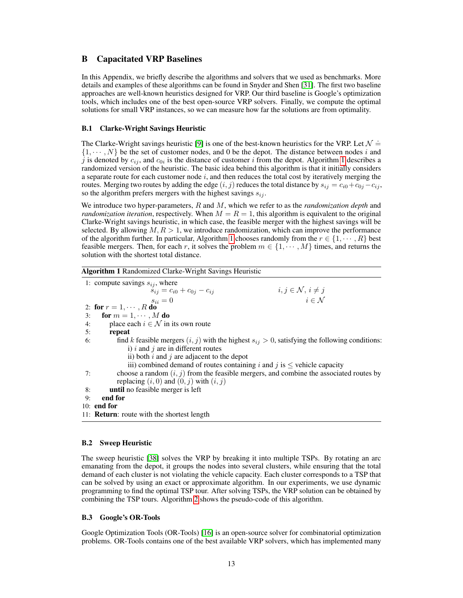# <span id="page-13-0"></span>B Capacitated VRP Baselines

In this Appendix, we briefly describe the algorithms and solvers that we used as benchmarks. More details and examples of these algorithms can be found in Snyder and Shen [\[31\]](#page-11-12). The first two baseline approaches are well-known heuristics designed for VRP. Our third baseline is Google's optimization tools, which includes one of the best open-source VRP solvers. Finally, we compute the optimal solutions for small VRP instances, so we can measure how far the solutions are from optimality.

#### B.1 Clarke-Wright Savings Heuristic

The Clarke-Wright savings heuristic [\[9\]](#page-10-12) is one of the best-known heuristics for the VRP. Let  $\mathcal{N} \doteq$  $\{1, \dots, N\}$  be the set of customer nodes, and 0 be the depot. The distance between nodes i and j is denoted by  $c_{ij}$ , and  $c_{0i}$  is the distance of customer i from the depot. Algorithm [1](#page-13-1) describes a randomized version of the heuristic. The basic idea behind this algorithm is that it initially considers a separate route for each customer node  $i$ , and then reduces the total cost by iteratively merging the routes. Merging two routes by adding the edge  $(i, j)$  reduces the total distance by  $s_{ij} = c_{i0} + c_{0j} - c_{ij}$ , so the algorithm prefers mergers with the highest savings  $s_{ij}$ .

We introduce two hyper-parameters, R and M, which we refer to as the *randomization depth* and *randomization iteration*, respectively. When  $M = R = 1$ , this algorithm is equivalent to the original Clarke-Wright savings heuristic, in which case, the feasible merger with the highest savings will be selected. By allowing  $M, R > 1$ , we introduce randomization, which can improve the performance of the algorithm further. In particular, Algorithm [1](#page-13-1) chooses randomly from the  $r \in \{1, \dots, R\}$  best feasible mergers. Then, for each r, it solves the problem  $m \in \{1, \dots, M\}$  times, and returns the solution with the shortest total distance.

#### <span id="page-13-1"></span>Algorithm 1 Randomized Clarke-Wright Savings Heuristic

1: compute savings  $s_{ij}$ , where<br> $s_{ij} = c_{i0} + c_{0j} - c_{ij}$  $i, j \in \mathcal{N}, i \neq j$  $s_{ii} = 0$  i ∈ N 2: for  $r = 1, \cdots, R$  do 3: for  $m = 1, \dots, M$  do 4: place each  $i \in \mathcal{N}$  in its own route 5: repeat 6: find k feasible mergers  $(i, j)$  with the highest  $s_{ij} > 0$ , satisfying the following conditions: i)  $i$  and  $j$  are in different routes ii) both  $i$  and  $j$  are adjacent to the depot iii) combined demand of routes containing i and j is  $\leq$  vehicle capacity 7: choose a random  $(i, j)$  from the feasible mergers, and combine the associated routes by replacing  $(i, 0)$  and  $(0, j)$  with  $(i, j)$ 8: until no feasible merger is left 9: end for 10: end for 11: Return: route with the shortest length

# B.2 Sweep Heuristic

The sweep heuristic [\[38\]](#page-11-13) solves the VRP by breaking it into multiple TSPs. By rotating an arc emanating from the depot, it groups the nodes into several clusters, while ensuring that the total demand of each cluster is not violating the vehicle capacity. Each cluster corresponds to a TSP that can be solved by using an exact or approximate algorithm. In our experiments, we use dynamic programming to find the optimal TSP tour. After solving TSPs, the VRP solution can be obtained by combining the TSP tours. Algorithm [2](#page-14-0) shows the pseudo-code of this algorithm.

#### B.3 Google's OR-Tools

Google Optimization Tools (OR-Tools) [\[16\]](#page-10-3) is an open-source solver for combinatorial optimization problems. OR-Tools contains one of the best available VRP solvers, which has implemented many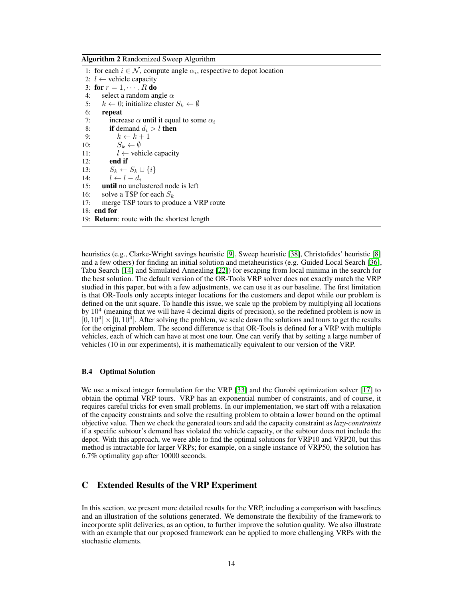<span id="page-14-0"></span>Algorithm 2 Randomized Sweep Algorithm

1: for each  $i \in \mathcal{N}$ , compute angle  $\alpha_i$ , respective to depot location 2:  $l$  ← vehicle capacity 3: for  $r = 1, \cdots, R$  do 4: select a random angle  $\alpha$ 5:  $k \leftarrow 0$ ; initialize cluster  $S_k \leftarrow \emptyset$ 6: repeat 7: increase  $\alpha$  until it equal to some  $\alpha_i$ 8: if demand  $d_i > l$  then 9:  $k \leftarrow k + 1$ 10:  $S_k \leftarrow \emptyset$ 11:  $l \leftarrow$  vehicle capacity 12: end if 13:  $S_k \leftarrow S_k \cup \{i\}$ 14:  $l \leftarrow l - d_i$ 15: until no unclustered node is left 16: solve a TSP for each  $S_k$ 17: merge TSP tours to produce a VRP route 18: end for 19: Return: route with the shortest length

heuristics (e.g., Clarke-Wright savings heuristic [\[9\]](#page-10-12), Sweep heuristic [\[38\]](#page-11-13), Christofides' heuristic [\[8\]](#page-10-13) and a few others) for finding an initial solution and metaheuristics (e.g. Guided Local Search [\[36\]](#page-11-14), Tabu Search [\[14\]](#page-10-14) and Simulated Annealing [\[22\]](#page-10-15)) for escaping from local minima in the search for the best solution. The default version of the OR-Tools VRP solver does not exactly match the VRP studied in this paper, but with a few adjustments, we can use it as our baseline. The first limitation is that OR-Tools only accepts integer locations for the customers and depot while our problem is defined on the unit square. To handle this issue, we scale up the problem by multiplying all locations by  $10<sup>4</sup>$  (meaning that we will have 4 decimal digits of precision), so the redefined problem is now in  $[0, 10^4] \times [0, 10^4]$ . After solving the problem, we scale down the solutions and tours to get the results for the original problem. The second difference is that OR-Tools is defined for a VRP with multiple vehicles, each of which can have at most one tour. One can verify that by setting a large number of vehicles (10 in our experiments), it is mathematically equivalent to our version of the VRP.

#### B.4 Optimal Solution

We use a mixed integer formulation for the VRP [\[33\]](#page-11-2) and the Gurobi optimization solver [\[17\]](#page-10-16) to obtain the optimal VRP tours. VRP has an exponential number of constraints, and of course, it requires careful tricks for even small problems. In our implementation, we start off with a relaxation of the capacity constraints and solve the resulting problem to obtain a lower bound on the optimal objective value. Then we check the generated tours and add the capacity constraint as *lazy-constraints* if a specific subtour's demand has violated the vehicle capacity, or the subtour does not include the depot. With this approach, we were able to find the optimal solutions for VRP10 and VRP20, but this method is intractable for larger VRPs; for example, on a single instance of VRP50, the solution has 6.7% optimality gap after 10000 seconds.

# C Extended Results of the VRP Experiment

In this section, we present more detailed results for the VRP, including a comparison with baselines and an illustration of the solutions generated. We demonstrate the flexibility of the framework to incorporate split deliveries, as an option, to further improve the solution quality. We also illustrate with an example that our proposed framework can be applied to more challenging VRPs with the stochastic elements.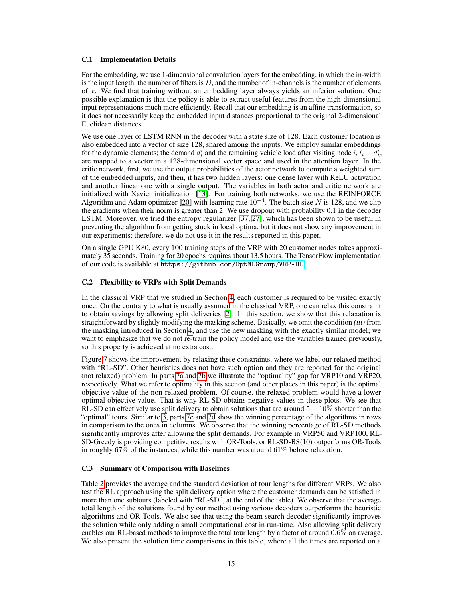#### C.1 Implementation Details

For the embedding, we use 1-dimensional convolution layers for the embedding, in which the in-width is the input length, the number of filters is  $D$ , and the number of in-channels is the number of elements of  $x$ . We find that training without an embedding layer always yields an inferior solution. One possible explanation is that the policy is able to extract useful features from the high-dimensional input representations much more efficiently. Recall that our embedding is an affine transformation, so it does not necessarily keep the embedded input distances proportional to the original 2-dimensional Euclidean distances.

We use one layer of LSTM RNN in the decoder with a state size of 128. Each customer location is also embedded into a vector of size 128, shared among the inputs. We employ similar embeddings for the dynamic elements; the demand  $d_t^i$  and the remaining vehicle load after visiting node  $i, l_t - \bar{d}_t^i$ , are mapped to a vector in a 128-dimensional vector space and used in the attention layer. In the critic network, first, we use the output probabilities of the actor network to compute a weighted sum of the embedded inputs, and then, it has two hidden layers: one dense layer with ReLU activation and another linear one with a single output. The variables in both actor and critic network are initialized with Xavier initialization [\[13\]](#page-10-17). For training both networks, we use the REINFORCE Algorithm and Adam optimizer [\[20\]](#page-10-18) with learning rate  $10^{-4}$ . The batch size N is 128, and we clip the gradients when their norm is greater than 2. We use dropout with probability 0.1 in the decoder LSTM. Moreover, we tried the entropy regularizer [\[37,](#page-11-15) [27\]](#page-11-16), which has been shown to be useful in preventing the algorithm from getting stuck in local optima, but it does not show any improvement in our experiments; therefore, we do not use it in the results reported in this paper.

On a single GPU K80, every 100 training steps of the VRP with 20 customer nodes takes approximately 35 seconds. Training for 20 epochs requires about 13.5 hours. The TensorFlow implementation of our code is available at <https://github.com/OptMLGroup/VRP-RL>.

#### <span id="page-15-0"></span>C.2 Flexibility to VRPs with Split Demands

In the classical VRP that we studied in Section [4,](#page-6-1) each customer is required to be visited exactly once. On the contrary to what is usually assumed in the classical VRP, one can relax this constraint to obtain savings by allowing split deliveries [\[2\]](#page-9-2). In this section, we show that this relaxation is straightforward by slightly modifying the masking scheme. Basically, we omit the condition *(iii)* from the masking introduced in Section [4,](#page-6-1) and use the new masking with the exactly similar model; we want to emphasize that we do not re-train the policy model and use the variables trained previously, so this property is achieved at no extra cost.

Figure [7](#page-16-1) shows the improvement by relaxing these constraints, where we label our relaxed method with "RL-SD". Other heuristics does not have such option and they are reported for the original (not relaxed) problem. In parts [7a](#page-16-1) and [7b](#page-16-1) we illustrate the "optimality" gap for VRP10 and VRP20, respectively. What we refer to optimality in this section (and other places in this paper) is the optimal objective value of the non-relaxed problem. Of course, the relaxed problem would have a lower optimal objective value. That is why RL-SD obtains negative values in these plots. We see that RL-SD can effectively use split delivery to obtain solutions that are around  $5 - 10\%$  shorter than the "optimal" tours. Similar to [3,](#page-7-0) parts [7c](#page-16-1) and [7d](#page-16-1) show the winning percentage of the algorithms in rows in comparison to the ones in columns. We observe that the winning percentage of RL-SD methods significantly improves after allowing the split demands. For example in VRP50 and VRP100, RL-SD-Greedy is providing competitive results with OR-Tools, or RL-SD-BS(10) outperforms OR-Tools in roughly  $67\%$  of the instances, while this number was around  $61\%$  before relaxation.

## C.3 Summary of Comparison with Baselines

Table [2](#page-17-0) provides the average and the standard deviation of tour lengths for different VRPs. We also test the RL approach using the split delivery option where the customer demands can be satisfied in more than one subtours (labeled with "RL-SD", at the end of the table). We observe that the average total length of the solutions found by our method using various decoders outperforms the heuristic algorithms and OR-Tools. We also see that using the beam search decoder significantly improves the solution while only adding a small computational cost in run-time. Also allowing split delivery enables our RL-based methods to improve the total tour length by a factor of around 0.6% on average. We also present the solution time comparisons in this table, where all the times are reported on a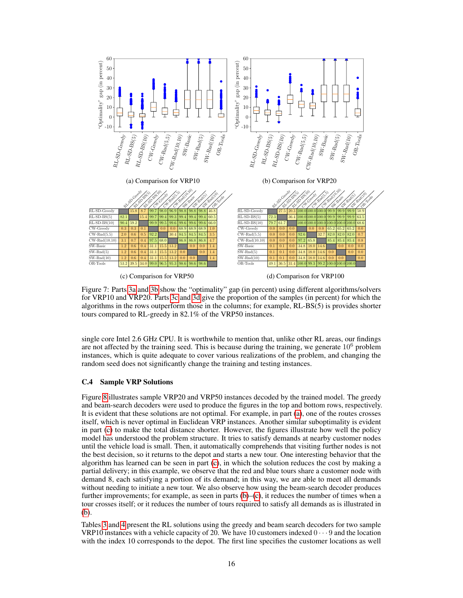<span id="page-16-1"></span>

Figure 7: Parts [3a](#page-7-0) and [3b](#page-7-0) show the "optimality" gap (in percent) using different algorithms/solvers for VRP10 and VRP20. Parts [3c](#page-7-0) and [3d](#page-7-0) give the proportion of the samples (in percent) for which the algorithms in the rows outperform those in the columns; for example, RL-BS(5) is provides shorter tours compared to RL-greedy in 82.1% of the VRP50 instances.

single core Intel 2.6 GHz CPU. It is worthwhile to mention that, unlike other RL areas, our findings are not affected by the training seed. This is because during the training, we generate  $10<sup>6</sup>$  problem instances, which is quite adequate to cover various realizations of the problem, and changing the random seed does not significantly change the training and testing instances.

# <span id="page-16-0"></span>C.4 Sample VRP Solutions

Figure [8](#page-17-1) illustrates sample VRP20 and VRP50 instances decoded by the trained model. The greedy and beam-search decoders were used to produce the figures in the top and bottom rows, respectively. It is evident that these solutions are not optimal. For example, in part [\(a\)](#page-17-1), one of the routes crosses itself, which is never optimal in Euclidean VRP instances. Another similar suboptimality is evident in part [\(c\)](#page-17-1) to make the total distance shorter. However, the figures illustrate how well the policy model has understood the problem structure. It tries to satisfy demands at nearby customer nodes until the vehicle load is small. Then, it automatically comprehends that visiting further nodes is not the best decision, so it returns to the depot and starts a new tour. One interesting behavior that the algorithm has learned can be seen in part [\(c\)](#page-17-1), in which the solution reduces the cost by making a partial delivery; in this example, we observe that the red and blue tours share a customer node with demand 8, each satisfying a portion of its demand; in this way, we are able to meet all demands without needing to initiate a new tour. We also observe how using the beam-search decoder produces further improvements; for example, as seen in parts  $(b)$ – $(c)$ , it reduces the number of times when a tour crosses itself; or it reduces the number of tours required to satisfy all demands as is illustrated in [\(b\)](#page-17-1).

Tables [3](#page-19-0) and [4](#page-19-1) present the RL solutions using the greedy and beam search decoders for two sample VRP10 instances with a vehicle capacity of 20. We have 10 customers indexed  $0 \cdots 9$  and the location with the index 10 corresponds to the depot. The first line specifies the customer locations as well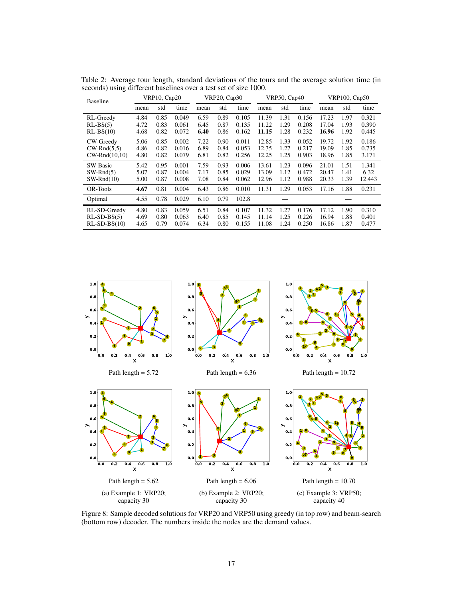<span id="page-17-0"></span>Table 2: Average tour length, standard deviations of the tours and the average solution time (in seconds) using different baselines over a test set of size 1000.

| <b>Baseline</b>        | <b>VRP10, Cap20</b> |      | <b>VRP20, Cap30</b> |      | <b>VRP50, Cap40</b> |       | <b>VRP100, Cap50</b> |      |       |       |      |        |
|------------------------|---------------------|------|---------------------|------|---------------------|-------|----------------------|------|-------|-------|------|--------|
|                        | mean                | std  | time                | mean | std                 | time  | mean                 | std  | time  | mean  | std  | time   |
| RL-Greedy              | 4.84                | 0.85 | 0.049               | 6.59 | 0.89                | 0.105 | 11.39                | 1.31 | 0.156 | 17.23 | 1.97 | 0.321  |
| $RL-BS(5)$             | 4.72                | 0.83 | 0.061               | 6.45 | 0.87                | 0.135 | 11.22                | 1.29 | 0.208 | 17.04 | 1.93 | 0.390  |
| $RL-BS(10)$            | 4.68                | 0.82 | 0.072               | 6.40 | 0.86                | 0.162 | 11.15                | 1.28 | 0.232 | 16.96 | 1.92 | 0.445  |
| CW-Greedy              | 5.06                | 0.85 | 0.002               | 7.22 | 0.90                | 0.011 | 12.85                | 1.33 | 0.052 | 19.72 | 1.92 | 0.186  |
| $CW\text{-}Rnd(5,5)$   | 4.86                | 0.82 | 0.016               | 6.89 | 0.84                | 0.053 | 12.35                | 1.27 | 0.217 | 19.09 | 1.85 | 0.735  |
| $CW\text{-}Rnd(10,10)$ | 4.80                | 0.82 | 0.079               | 6.81 | 0.82                | 0.256 | 12.25                | 1.25 | 0.903 | 18.96 | 1.85 | 3.171  |
| SW-Basic               | 5.42                | 0.95 | 0.001               | 7.59 | 0.93                | 0.006 | 13.61                | 1.23 | 0.096 | 21.01 | 1.51 | 1.341  |
| $SW-Rnd(5)$            | 5.07                | 0.87 | 0.004               | 7.17 | 0.85                | 0.029 | 13.09                | 1.12 | 0.472 | 20.47 | 1.41 | 6.32   |
| $SW-Rnd(10)$           | 5.00                | 0.87 | 0.008               | 7.08 | 0.84                | 0.062 | 12.96                | 1.12 | 0.988 | 20.33 | 1.39 | 12.443 |
| OR-Tools               | 4.67                | 0.81 | 0.004               | 6.43 | 0.86                | 0.010 | 11.31                | 1.29 | 0.053 | 17.16 | 1.88 | 0.231  |
| Optimal                | 4.55                | 0.78 | 0.029               | 6.10 | 0.79                | 102.8 |                      |      |       |       |      |        |
| RL-SD-Greedy           | 4.80                | 0.83 | 0.059               | 6.51 | 0.84                | 0.107 | 11.32                | 1.27 | 0.176 | 17.12 | 1.90 | 0.310  |
| $RL-SD-BS(5)$          | 4.69                | 0.80 | 0.063               | 6.40 | 0.85                | 0.145 | 11.14                | 1.25 | 0.226 | 16.94 | 1.88 | 0.401  |
| $RL-SD-BS(10)$         | 4.65                | 0.79 | 0.074               | 6.34 | 0.80                | 0.155 | 11.08                | 1.24 | 0.250 | 16.86 | 1.87 | 0.477  |

<span id="page-17-1"></span>

Figure 8: Sample decoded solutions for VRP20 and VRP50 using greedy (in top row) and beam-search (bottom row) decoder. The numbers inside the nodes are the demand values.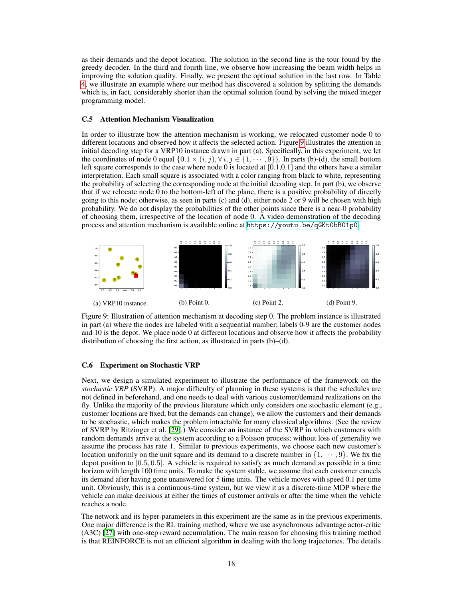as their demands and the depot location. The solution in the second line is the tour found by the greedy decoder. In the third and fourth line, we observe how increasing the beam width helps in improving the solution quality. Finally, we present the optimal solution in the last row. In Table [4,](#page-19-1) we illustrate an example where our method has discovered a solution by splitting the demands which is, in fact, considerably shorter than the optimal solution found by solving the mixed integer programming model.

#### C.5 Attention Mechanism Visualization

In order to illustrate how the attention mechanism is working, we relocated customer node 0 to different locations and observed how it affects the selected action. Figure [9](#page-18-1) illustrates the attention in initial decoding step for a VRP10 instance drawn in part (a). Specifically, in this experiment, we let the coordinates of node 0 equal  $\{0.1 \times (i, j), \forall i, j \in \{1, \dots, 9\}\}\.$  In parts (b)-(d), the small bottom left square corresponds to the case where node 0 is located at  $[0,1,0.1]$  and the others have a similar interpretation. Each small square is associated with a color ranging from black to white, representing the probability of selecting the corresponding node at the initial decoding step. In part (b), we observe that if we relocate node 0 to the bottom-left of the plane, there is a positive probability of directly going to this node; otherwise, as seen in parts (c) and (d), either node 2 or 9 will be chosen with high probability. We do not display the probabilities of the other points since there is a near-0 probability of choosing them, irrespective of the location of node 0. A video demonstration of the decoding process and attention mechanism is available online at <https://youtu.be/qGKt0bB01p0>.

<span id="page-18-1"></span>

Figure 9: Illustration of attention mechanism at decoding step 0. The problem instance is illustrated in part (a) where the nodes are labeled with a sequential number; labels 0-9 are the customer nodes and 10 is the depot. We place node 0 at different locations and observe how it affects the probability distribution of choosing the first action, as illustrated in parts (b)–(d).

#### <span id="page-18-0"></span>C.6 Experiment on Stochastic VRP

Next, we design a simulated experiment to illustrate the performance of the framework on the *stochastic VRP* (SVRP). A major difficulty of planning in these systems is that the schedules are not defined in beforehand, and one needs to deal with various customer/demand realizations on the fly. Unlike the majority of the previous literature which only considers one stochastic element (e.g., customer locations are fixed, but the demands can change), we allow the customers and their demands to be stochastic, which makes the problem intractable for many classical algorithms. (See the review of SVRP by Ritzinger et al. [\[29\]](#page-11-17).) We consider an instance of the SVRP in which customers with random demands arrive at the system according to a Poisson process; without loss of generality we assume the process has rate 1. Similar to previous experiments, we choose each new customer's location uniformly on the unit square and its demand to a discrete number in  $\{1, \dots, 9\}$ . We fix the depot position to [0.5, 0.5]. A vehicle is required to satisfy as much demand as possible in a time horizon with length 100 time units. To make the system stable, we assume that each customer cancels its demand after having gone unanswered for 5 time units. The vehicle moves with speed 0.1 per time unit. Obviously, this is a continuous-time system, but we view it as a discrete-time MDP where the vehicle can make decisions at either the times of customer arrivals or after the time when the vehicle reaches a node.

The network and its hyper-parameters in this experiment are the same as in the previous experiments. One major difference is the RL training method, where we use asynchronous advantage actor-critic (A3C) [\[27\]](#page-11-16) with one-step reward accumulation. The main reason for choosing this training method is that REINFORCE is not an efficient algorithm in dealing with the long trajectories. The details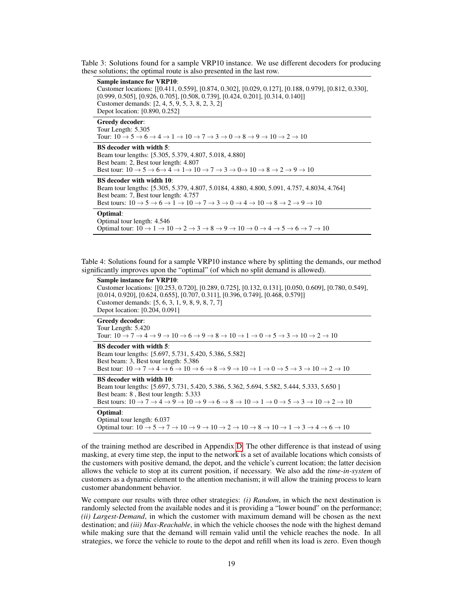<span id="page-19-0"></span>Table 3: Solutions found for a sample VRP10 instance. We use different decoders for producing these solutions; the optimal route is also presented in the last row.

| <b>Sample instance for VRP10:</b><br>Customer locations: [[0.411, 0.559], [0.874, 0.302], [0.029, 0.127], [0.188, 0.979], [0.812, 0.330],<br>$[0.999, 0.505], [0.926, 0.705], [0.508, 0.739], [0.424, 0.201], [0.314, 0.140]]$<br>Customer demands: [2, 4, 5, 9, 5, 3, 8, 2, 3, 2]<br>Depot location: [0.890, 0.252]                                                           |
|--------------------------------------------------------------------------------------------------------------------------------------------------------------------------------------------------------------------------------------------------------------------------------------------------------------------------------------------------------------------------------|
| Greedy decoder:<br>Tour Length: 5.305<br>Tour: $10 \rightarrow 5 \rightarrow 6 \rightarrow 4 \rightarrow 1 \rightarrow 10 \rightarrow 7 \rightarrow 3 \rightarrow 0 \rightarrow 8 \rightarrow 9 \rightarrow 10 \rightarrow 2 \rightarrow 10$                                                                                                                                   |
| BS decoder with width 5:<br>Beam tour lengths: [5.305, 5.379, 4.807, 5.018, 4.880]<br>Best beam: 2, Best tour length: 4.807<br>Best tour: $10 \rightarrow 5 \rightarrow 6 \rightarrow 4 \rightarrow 1 \rightarrow 10 \rightarrow 7 \rightarrow 3 \rightarrow 0 \rightarrow 10 \rightarrow 8 \rightarrow 2 \rightarrow 9 \rightarrow 10$                                        |
| BS decoder with width 10:<br>Beam tour lengths: [5.305, 5.379, 4.807, 5.0184, 4.880, 4.800, 5.091, 4.757, 4.8034, 4.764]<br>Best beam: 7, Best tour length: 4.757<br>Best tours: $10 \rightarrow 5 \rightarrow 6 \rightarrow 1 \rightarrow 10 \rightarrow 7 \rightarrow 3 \rightarrow 0 \rightarrow 4 \rightarrow 10 \rightarrow 8 \rightarrow 2 \rightarrow 9 \rightarrow 10$ |
| Optimal:<br>Optimal tour length: 4.546<br>Optimal tour: $10 \rightarrow 1 \rightarrow 10 \rightarrow 2 \rightarrow 3 \rightarrow 8 \rightarrow 9 \rightarrow 10 \rightarrow 0 \rightarrow 4 \rightarrow 5 \rightarrow 6 \rightarrow 7 \rightarrow 10$                                                                                                                          |

<span id="page-19-1"></span>Table 4: Solutions found for a sample VRP10 instance where by splitting the demands, our method significantly improves upon the "optimal" (of which no split demand is allowed).

| <b>Sample instance for VRP10:</b><br>Customer locations: [[0.253, 0.720], [0.289, 0.725], [0.132, 0.131], [0.050, 0.609], [0.780, 0.549],<br>$[0.014, 0.920]$ , $[0.624, 0.655]$ , $[0.707, 0.311]$ , $[0.396, 0.749]$ , $[0.468, 0.579]$<br>Customer demands: [5, 6, 3, 1, 9, 8, 9, 8, 7, 7]<br>Depot location: [0.204, 0.091]                                                                                  |
|------------------------------------------------------------------------------------------------------------------------------------------------------------------------------------------------------------------------------------------------------------------------------------------------------------------------------------------------------------------------------------------------------------------|
| Greedy decoder:<br>Tour Length: 5.420<br>Tour: $10 \rightarrow 7 \rightarrow 4 \rightarrow 9 \rightarrow 10 \rightarrow 6 \rightarrow 9 \rightarrow 8 \rightarrow 10 \rightarrow 1 \rightarrow 0 \rightarrow 5 \rightarrow 3 \rightarrow 10 \rightarrow 2 \rightarrow 10$                                                                                                                                        |
| <b>BS</b> decoder with width 5:<br>Beam tour lengths: [5.697, 5.731, 5.420, 5.386, 5.582]<br>Best beam: 3, Best tour length: 5.386<br>Best tour: $10 \rightarrow 7 \rightarrow 4 \rightarrow 6 \rightarrow 10 \rightarrow 6 \rightarrow 8 \rightarrow 9 \rightarrow 10 \rightarrow 1 \rightarrow 0 \rightarrow 5 \rightarrow 3 \rightarrow 10 \rightarrow 2 \rightarrow 10$                                      |
| <b>BS</b> decoder with width 10:<br>Beam tour lengths: [5.697, 5.731, 5.420, 5.386, 5.362, 5.694, 5.582, 5.444, 5.333, 5.650]<br>Best beam: 8, Best tour length: 5.333<br>Best tours: $10 \rightarrow 7 \rightarrow 4 \rightarrow 9 \rightarrow 10 \rightarrow 9 \rightarrow 6 \rightarrow 8 \rightarrow 10 \rightarrow 1 \rightarrow 0 \rightarrow 5 \rightarrow 3 \rightarrow 10 \rightarrow 2 \rightarrow 10$ |
| Optimal:<br>Optimal tour length: 6.037<br>Optimal tour: $10 \rightarrow 5 \rightarrow 7 \rightarrow 10 \rightarrow 9 \rightarrow 10 \rightarrow 2 \rightarrow 10 \rightarrow 8 \rightarrow 10 \rightarrow 1 \rightarrow 3 \rightarrow 4 \rightarrow 6 \rightarrow 10$                                                                                                                                            |
|                                                                                                                                                                                                                                                                                                                                                                                                                  |

of the training method are described in Appendix [D.](#page-20-0) The other difference is that instead of using masking, at every time step, the input to the network is a set of available locations which consists of the customers with positive demand, the depot, and the vehicle's current location; the latter decision allows the vehicle to stop at its current position, if necessary. We also add the *time-in-system* of customers as a dynamic element to the attention mechanism; it will allow the training process to learn customer abandonment behavior.

We compare our results with three other strategies: *(i) Random*, in which the next destination is randomly selected from the available nodes and it is providing a "lower bound" on the performance; *(ii) Largest-Demand*, in which the customer with maximum demand will be chosen as the next destination; and *(iii) Max-Reachable*, in which the vehicle chooses the node with the highest demand while making sure that the demand will remain valid until the vehicle reaches the node. In all strategies, we force the vehicle to route to the depot and refill when its load is zero. Even though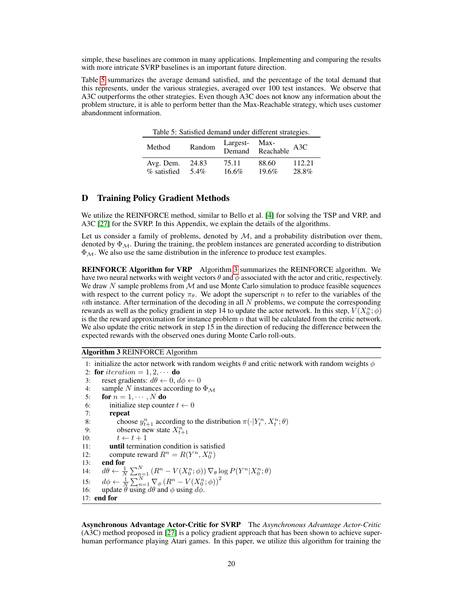simple, these baselines are common in many applications. Implementing and comparing the results with more intricate SVRP baselines is an important future direction.

<span id="page-20-1"></span>Table [5](#page-20-1) summarizes the average demand satisfied, and the percentage of the total demand that this represents, under the various strategies, averaged over 100 test instances. We observe that A3C outperforms the other strategies. Even though A3C does not know any information about the problem structure, it is able to perform better than the Max-Reachable strategy, which uses customer abandonment information.

Table 5: Satisfied demand under different strategies.

| Method      | Random | Largest- | Max-<br>Demand Reachable | A3C    |
|-------------|--------|----------|--------------------------|--------|
| Avg. Dem.   | 24.83  | 75.11    | 88.60                    | 112.21 |
| % satisfied | 54%    | $16.6\%$ | 19.6%                    | 28.8%  |

## D Training Policy Gradient Methods

We utilize the REINFORCE method, similar to Bello et al. [\[4\]](#page-10-2) for solving the TSP and VRP, and A3C [\[27\]](#page-11-16) for the SVRP. In this Appendix, we explain the details of the algorithms.

Let us consider a family of problems, denoted by  $M$ , and a probability distribution over them, denoted by  $\Phi_{\mathcal{M}}$ . During the training, the problem instances are generated according to distribution  $\Phi_{\mathcal{M}}$ . We also use the same distribution in the inference to produce test examples.

REINFORCE Algorithm for VRP Algorithm [3](#page-20-2) summarizes the REINFORCE algorithm. We have two neural networks with weight vectors  $\theta$  and  $\phi$  associated with the actor and critic, respectively. We draw  $N$  sample problems from  $M$  and use Monte Carlo simulation to produce feasible sequences with respect to the current policy  $\pi_{\theta}$ . We adopt the superscript n to refer to the variables of the nth instance. After termination of the decoding in all  $N$  problems, we compute the corresponding rewards as well as the policy gradient in step 14 to update the actor network. In this step,  $V(X_0^n; \phi)$ is the the reward approximation for instance problem  $n$  that will be calculated from the critic network. We also update the critic network in step 15 in the direction of reducing the difference between the expected rewards with the observed ones during Monte Carlo roll-outs.

<span id="page-20-2"></span>Algorithm 3 REINFORCE Algorithm

```
1: initialize the actor network with random weights \theta and critic network with random weights \phi2: for iteration = 1, 2, \cdots do
 3: reset gradients: d\theta \leftarrow 0, d\phi \leftarrow 04: sample N instances according to \Phi_M5: for n = 1, \cdots, N do
 6: initialize step counter t \leftarrow 07: repeat
 8: choose y_{t+1}^n according to the distribution \pi(\cdot|Y_t^n, X_t^n; \theta)9: observe new state X_{t+1}^n10: t \leftarrow t + 111: until termination condition is satisfied
12: compute reward R^n = R(Y^n, X_0^n)13: end for
14: d\theta \leftarrow \frac{1}{N} \sum_{n=1}^{N} (R^n - V(X_0^n; \phi)) \nabla_{\theta} \log P(Y^n | X_0^n; \theta)15: d\phi \leftarrow \frac{1}{N} \sum_{n=1}^{N} \nabla_{\phi} (R^n - V(X_0^n; \phi))^216: update \theta using d\theta and \phi using d\phi.
17: end for
```
<span id="page-20-0"></span>Asynchronous Advantage Actor-Critic for SVRP The *Asynchronous Advantage Actor-Critic* (A3C) method proposed in [\[27\]](#page-11-16) is a policy gradient approach that has been shown to achieve superhuman performance playing Atari games. In this paper, we utilize this algorithm for training the